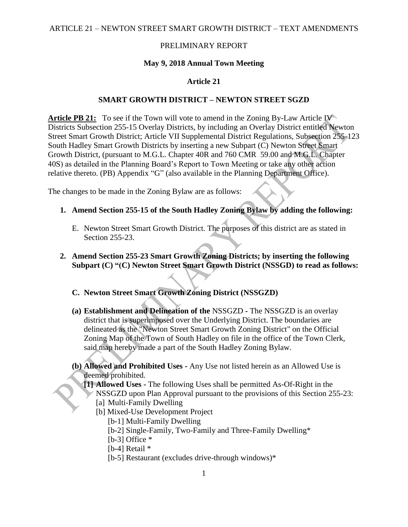ARTICLE 21 – NEWTON STREET SMART GROWTH DISTRICT – TEXT AMENDMENTS

### PRELIMINARY REPORT

#### **May 9, 2018 Annual Town Meeting**

### **Article 21**

#### **SMART GROWTH DISTRICT – NEWTON STREET SGZD**

**Article PB 21:** To see if the Town will vote to amend in the Zoning By-Law Article IV Districts Subsection 255-15 Overlay Districts, by including an Overlay District entitled Newton Street Smart Growth District; Article VII Supplemental District Regulations, Subsection 255-123 South Hadley Smart Growth Districts by inserting a new Subpart (C) Newton Street Smart Growth District, (pursuant to M.G.L. Chapter 40R and 760 CMR 59.00 and M.G.L. Chapter 40S) as detailed in the Planning Board's Report to Town Meeting or take any other action relative thereto. (PB) Appendix "G" (also available in the Planning Department Office).

The changes to be made in the Zoning Bylaw are as follows:

- **1. Amend Section 255-15 of the South Hadley Zoning Bylaw by adding the following:**
	- E. Newton Street Smart Growth District. The purposes of this district are as stated in Section 255-23.
- **2. Amend Section 255-23 Smart Growth Zoning Districts; by inserting the following Subpart (C) "(C) Newton Street Smart Growth District (NSSGD) to read as follows:**

#### **C. Newton Street Smart Growth Zoning District (NSSGZD)**

- **(a) Establishment and Delineation of the** NSSGZD **-** The NSSGZD is an overlay district that is superimposed over the Underlying District. The boundaries are delineated as the "Newton Street Smart Growth Zoning District" on the Official Zoning Map of the Town of South Hadley on file in the office of the Town Clerk, said map hereby made a part of the South Hadley Zoning Bylaw.
- **(b) Allowed and Prohibited Uses -** Any Use not listed herein as an Allowed Use is deemed prohibited.

**[1] Allowed Uses -** The following Uses shall be permitted As-Of-Right in the NSSGZD upon Plan Approval pursuant to the provisions of this Section 255-23: [a] Multi-Family Dwelling

- [b] Mixed-Use Development Project
	- [b-1] Multi-Family Dwelling
	- [b-2] Single-Family, Two-Family and Three-Family Dwelling\*
	- [b-3] Office  $*$
	- [b-4] Retail \*
	- [b-5] Restaurant (excludes drive-through windows)\*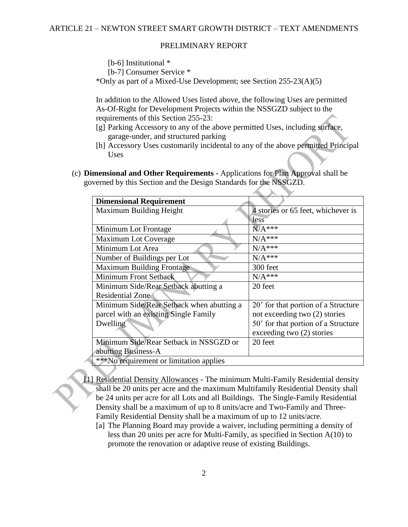[b-6] Institutional  $*$ 

[b-7] Consumer Service \*

\*Only as part of a Mixed-Use Development; see Section 255-23(A)(5)

In addition to the Allowed Uses listed above, the following Uses are permitted As-Of-Right for Development Projects within the NSSGZD subject to the requirements of this Section 255-23:

- [g] Parking Accessory to any of the above permitted Uses, including surface, garage-under, and structured parking
- [h] Accessory Uses customarily incidental to any of the above permitted Principal Uses
- (c) **Dimensional and Other Requirements -** Applications for Plan Approval shall be governed by this Section and the Design Standards for the NSSGZD.

| <b>Dimensional Requirement</b>            |                                     |
|-------------------------------------------|-------------------------------------|
| Maximum Building Height                   | 4 stories or 65 feet, whichever is  |
|                                           | less                                |
| Minimum Lot Frontage                      | $N/A***$                            |
| Maximum Lot Coverage                      | $N/A***$                            |
| Minimum Lot Area                          | $N/A***$                            |
| Number of Buildings per Lot               | $N/A***$                            |
| <b>Maximum Building Frontage</b>          | 300 feet                            |
| Minimum Front Setback                     | $N/A***$                            |
| Minimum Side/Rear Setback abutting a      | 20 feet                             |
| <b>Residential Zone</b>                   |                                     |
| Minimum Side/Rear Setback when abutting a | 20' for that portion of a Structure |
| parcel with an existing Single Family     | not exceeding two (2) stories       |
| Dwelling                                  | 50' for that portion of a Structure |
|                                           | exceeding two (2) stories           |
| Minimum Side/Rear Setback in NSSGZD or    | 20 feet                             |
| abutting Business-A                       |                                     |
| ***No requirement or limitation applies   |                                     |

- [1] Residential Density Allowances The minimum Multi-Family Residential density shall be 20 units per acre and the maximum Multifamily Residential Density shall be 24 units per acre for all Lots and all Buildings. The Single-Family Residential Density shall be a maximum of up to 8 units/acre and Two-Family and Three-Family Residential Density shall be a maximum of up to 12 units/acre.
	- [a] The Planning Board may provide a waiver, including permitting a density of less than 20 units per acre for Multi-Family, as specified in Section A(10) to promote the renovation or adaptive reuse of existing Buildings.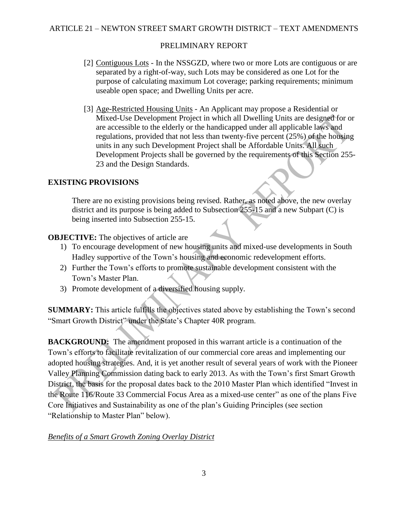- [2] Contiguous Lots In the NSSGZD, where two or more Lots are contiguous or are separated by a right-of-way, such Lots may be considered as one Lot for the purpose of calculating maximum Lot coverage; parking requirements; minimum useable open space; and Dwelling Units per acre.
- [3] Age-Restricted Housing Units An Applicant may propose a Residential or Mixed-Use Development Project in which all Dwelling Units are designed for or are accessible to the elderly or the handicapped under all applicable laws and regulations, provided that not less than twenty-five percent (25%) of the housing units in any such Development Project shall be Affordable Units. All such Development Projects shall be governed by the requirements of this Section 255- 23 and the Design Standards.

### **EXISTING PROVISIONS**

There are no existing provisions being revised. Rather, as noted above, the new overlay district and its purpose is being added to Subsection 255-15 and a new Subpart (C) is being inserted into Subsection 255-15.

### **OBJECTIVE:** The objectives of article are

- 1) To encourage development of new housing units and mixed-use developments in South Hadley supportive of the Town's housing and economic redevelopment efforts.
- 2) Further the Town's efforts to promote sustainable development consistent with the Town's Master Plan.
- 3) Promote development of a diversified housing supply.

**SUMMARY:** This article fulfills the objectives stated above by establishing the Town's second "Smart Growth District" under the State's Chapter 40R program.

**BACKGROUND:** The amendment proposed in this warrant article is a continuation of the Town's efforts to facilitate revitalization of our commercial core areas and implementing our adopted housing strategies. And, it is yet another result of several years of work with the Pioneer Valley Planning Commission dating back to early 2013. As with the Town's first Smart Growth District, the basis for the proposal dates back to the 2010 Master Plan which identified "Invest in the Route 116/Route 33 Commercial Focus Area as a mixed-use center" as one of the plans Five Core Initiatives and Sustainability as one of the plan's Guiding Principles (see section "Relationship to Master Plan" below).

### *Benefits of a Smart Growth Zoning Overlay District*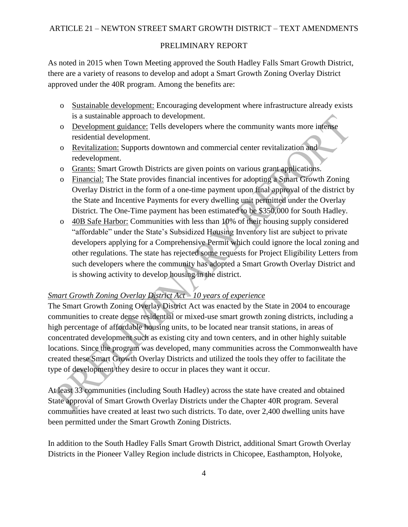As noted in 2015 when Town Meeting approved the South Hadley Falls Smart Growth District, there are a variety of reasons to develop and adopt a Smart Growth Zoning Overlay District approved under the 40R program. Among the benefits are:

- o Sustainable development: Encouraging development where infrastructure already exists is a sustainable approach to development.
- o Development guidance: Tells developers where the community wants more intense residential development.
- o Revitalization: Supports downtown and commercial center revitalization and redevelopment.
- o Grants: Smart Growth Districts are given points on various grant applications.
- o Financial: The State provides financial incentives for adopting a Smart Growth Zoning Overlay District in the form of a one-time payment upon final approval of the district by the State and Incentive Payments for every dwelling unit permitted under the Overlay District. The One-Time payment has been estimated to be \$350,000 for South Hadley.
- o 40B Safe Harbor: Communities with less than 10% of their housing supply considered "affordable" under the State's Subsidized Housing Inventory list are subject to private developers applying for a Comprehensive Permit which could ignore the local zoning and other regulations. The state has rejected some requests for Project Eligibility Letters from such developers where the community has adopted a Smart Growth Overlay District and is showing activity to develop housing in the district.

# *Smart Growth Zoning Overlay District Act – 10 years of experience*

The Smart Growth Zoning Overlay District Act was enacted by the State in 2004 to encourage communities to create dense residential or mixed-use smart growth zoning districts, including a high percentage of affordable housing units, to be located near transit stations, in areas of concentrated development such as existing city and town centers, and in other highly suitable locations. Since the program was developed, many communities across the Commonwealth have created these Smart Growth Overlay Districts and utilized the tools they offer to facilitate the type of development they desire to occur in places they want it occur.

At least 33 communities (including South Hadley) across the state have created and obtained State approval of Smart Growth Overlay Districts under the Chapter 40R program. Several communities have created at least two such districts. To date, over 2,400 dwelling units have been permitted under the Smart Growth Zoning Districts.

In addition to the South Hadley Falls Smart Growth District, additional Smart Growth Overlay Districts in the Pioneer Valley Region include districts in Chicopee, Easthampton, Holyoke,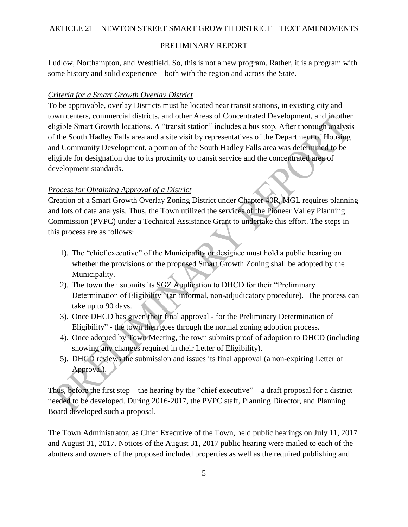Ludlow, Northampton, and Westfield. So, this is not a new program. Rather, it is a program with some history and solid experience – both with the region and across the State.

#### *Criteria for a Smart Growth Overlay District*

To be approvable, overlay Districts must be located near transit stations, in existing city and town centers, commercial districts, and other Areas of Concentrated Development, and in other eligible Smart Growth locations. A "transit station" includes a bus stop. After thorough analysis of the South Hadley Falls area and a site visit by representatives of the Department of Housing and Community Development, a portion of the South Hadley Falls area was determined to be eligible for designation due to its proximity to transit service and the concentrated area of development standards.

#### *Process for Obtaining Approval of a District*

Creation of a Smart Growth Overlay Zoning District under Chapter 40R, MGL requires planning and lots of data analysis. Thus, the Town utilized the services of the Pioneer Valley Planning Commission (PVPC) under a Technical Assistance Grant to undertake this effort. The steps in this process are as follows:

- 1). The "chief executive" of the Municipality or designee must hold a public hearing on whether the provisions of the proposed Smart Growth Zoning shall be adopted by the Municipality.
- 2). The town then submits its SGZ Application to DHCD for their "Preliminary Determination of Eligibility" (an informal, non-adjudicatory procedure). The process can take up to 90 days.
- 3). Once DHCD has given their final approval for the Preliminary Determination of Eligibility" - the town then goes through the normal zoning adoption process.
- 4). Once adopted by Town Meeting, the town submits proof of adoption to DHCD (including showing any changes required in their Letter of Eligibility).
- 5). DHCD reviews the submission and issues its final approval (a non-expiring Letter of Approval).

Thus, before the first step – the hearing by the "chief executive" – a draft proposal for a district needed to be developed. During 2016-2017, the PVPC staff, Planning Director, and Planning Board developed such a proposal.

The Town Administrator, as Chief Executive of the Town, held public hearings on July 11, 2017 and August 31, 2017. Notices of the August 31, 2017 public hearing were mailed to each of the abutters and owners of the proposed included properties as well as the required publishing and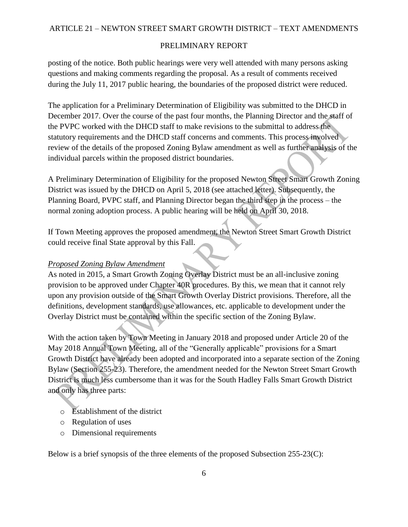posting of the notice. Both public hearings were very well attended with many persons asking questions and making comments regarding the proposal. As a result of comments received during the July 11, 2017 public hearing, the boundaries of the proposed district were reduced.

The application for a Preliminary Determination of Eligibility was submitted to the DHCD in December 2017. Over the course of the past four months, the Planning Director and the staff of the PVPC worked with the DHCD staff to make revisions to the submittal to address the statutory requirements and the DHCD staff concerns and comments. This process involved review of the details of the proposed Zoning Bylaw amendment as well as further analysis of the individual parcels within the proposed district boundaries.

A Preliminary Determination of Eligibility for the proposed Newton Street Smart Growth Zoning District was issued by the DHCD on April 5, 2018 (see attached letter). Subsequently, the Planning Board, PVPC staff, and Planning Director began the third step in the process – the normal zoning adoption process. A public hearing will be held on April 30, 2018.

If Town Meeting approves the proposed amendment, the Newton Street Smart Growth District could receive final State approval by this Fall.

### *Proposed Zoning Bylaw Amendment*

As noted in 2015, a Smart Growth Zoning Overlay District must be an all-inclusive zoning provision to be approved under Chapter 40R procedures. By this, we mean that it cannot rely upon any provision outside of the Smart Growth Overlay District provisions. Therefore, all the definitions, development standards, use allowances, etc. applicable to development under the Overlay District must be contained within the specific section of the Zoning Bylaw.

With the action taken by Town Meeting in January 2018 and proposed under Article 20 of the May 2018 Annual Town Meeting, all of the "Generally applicable" provisions for a Smart Growth District have already been adopted and incorporated into a separate section of the Zoning Bylaw (Section 255-23). Therefore, the amendment needed for the Newton Street Smart Growth District is much less cumbersome than it was for the South Hadley Falls Smart Growth District and only has three parts:

- $\circ$  Establishment of the district
- o Regulation of uses
- o Dimensional requirements

Below is a brief synopsis of the three elements of the proposed Subsection 255-23(C):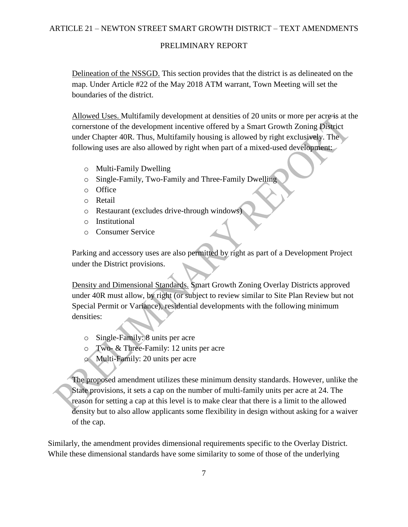### ARTICLE 21 – NEWTON STREET SMART GROWTH DISTRICT – TEXT AMENDMENTS

### PRELIMINARY REPORT

Delineation of the NSSGD. This section provides that the district is as delineated on the map. Under Article #22 of the May 2018 ATM warrant, Town Meeting will set the boundaries of the district.

Allowed Uses. Multifamily development at densities of 20 units or more per acre is at the cornerstone of the development incentive offered by a Smart Growth Zoning District under Chapter 40R. Thus, Multifamily housing is allowed by right exclusively. The following uses are also allowed by right when part of a mixed-used development:

- o Multi-Family Dwelling
- o Single-Family, Two-Family and Three-Family Dwelling
- o Office
- o Retail
- o Restaurant (excludes drive-through windows)
- o Institutional
- o Consumer Service

Parking and accessory uses are also permitted by right as part of a Development Project under the District provisions.

Density and Dimensional Standards. Smart Growth Zoning Overlay Districts approved under 40R must allow, by right (or subject to review similar to Site Plan Review but not Special Permit or Variance), residential developments with the following minimum densities:

- o Single-Family: 8 units per acre
- o Two- & Three-Family: 12 units per acre
- o Multi-Family: 20 units per acre

The proposed amendment utilizes these minimum density standards. However, unlike the State provisions, it sets a cap on the number of multi-family units per acre at 24. The reason for setting a cap at this level is to make clear that there is a limit to the allowed density but to also allow applicants some flexibility in design without asking for a waiver of the cap.

Similarly, the amendment provides dimensional requirements specific to the Overlay District. While these dimensional standards have some similarity to some of those of the underlying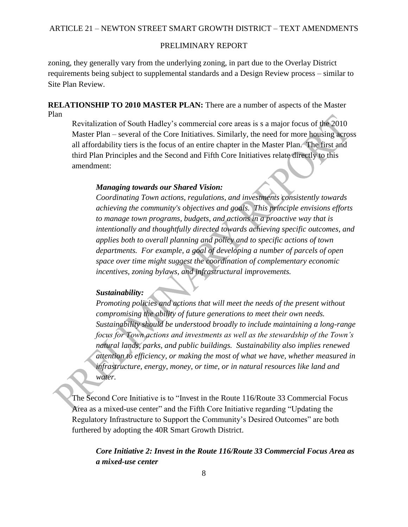zoning, they generally vary from the underlying zoning, in part due to the Overlay District requirements being subject to supplemental standards and a Design Review process – similar to Site Plan Review.

**RELATIONSHIP TO 2010 MASTER PLAN:** There are a number of aspects of the Master Plan

Revitalization of South Hadley's commercial core areas is s a major focus of the 2010 Master Plan – several of the Core Initiatives. Similarly, the need for more housing across all affordability tiers is the focus of an entire chapter in the Master Plan. The first and third Plan Principles and the Second and Fifth Core Initiatives relate directly to this amendment:

#### *Managing towards our Shared Vision:*

*Coordinating Town actions, regulations, and investments consistently towards achieving the community's objectives and goals. This principle envisions efforts to manage town programs, budgets, and actions in a proactive way that is intentionally and thoughtfully directed towards achieving specific outcomes, and applies both to overall planning and policy and to specific actions of town departments. For example, a goal of developing a number of parcels of open space over time might suggest the coordination of complementary economic incentives, zoning bylaws, and infrastructural improvements.* 

#### *Sustainability:*

*Promoting policies and actions that will meet the needs of the present without compromising the ability of future generations to meet their own needs. Sustainability should be understood broadly to include maintaining a long-range focus for Town actions and investments as well as the stewardship of the Town's natural lands, parks, and public buildings. Sustainability also implies renewed attention to efficiency, or making the most of what we have, whether measured in infrastructure, energy, money, or time, or in natural resources like land and water.*

The Second Core Initiative is to "Invest in the Route 116/Route 33 Commercial Focus Area as a mixed-use center" and the Fifth Core Initiative regarding "Updating the Regulatory Infrastructure to Support the Community's Desired Outcomes" are both furthered by adopting the 40R Smart Growth District.

*Core Initiative 2: Invest in the Route 116/Route 33 Commercial Focus Area as a mixed-use center*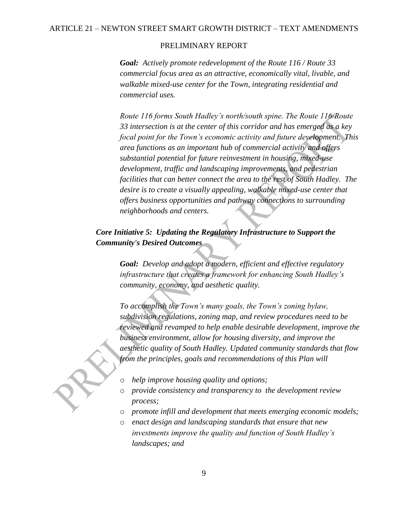*Goal: Actively promote redevelopment of the Route 116 / Route 33 commercial focus area as an attractive, economically vital, livable, and walkable mixed-use center for the Town, integrating residential and commercial uses.*

*Route 116 forms South Hadley's north/south spine. The Route 116/Route 33 intersection is at the center of this corridor and has emerged as a key focal point for the Town's economic activity and future development. This area functions as an important hub of commercial activity and offers substantial potential for future reinvestment in housing, mixed-use development, traffic and landscaping improvements, and pedestrian facilities that can better connect the area to the rest of South Hadley. The desire is to create a visually appealing, walkable mixed-use center that offers business opportunities and pathway connections to surrounding neighborhoods and centers.*

# *Core Initiative 5: Updating the Regulatory Infrastructure to Support the Community's Desired Outcomes*

*Goal: Develop and adopt a modern, efficient and effective regulatory infrastructure that creates a framework for enhancing South Hadley's community, economy, and aesthetic quality.* 

*To accomplish the Town's many goals, the Town's zoning bylaw, subdivision regulations, zoning map, and review procedures need to be reviewed and revamped to help enable desirable development, improve the business environment, allow for housing diversity, and improve the aesthetic quality of South Hadley. Updated community standards that flow from the principles, goals and recommendations of this Plan will*

- o *help improve housing quality and options;*
- o *provide consistency and transparency to the development review process;*
- o *promote infill and development that meets emerging economic models;*
- o *enact design and landscaping standards that ensure that new investments improve the quality and function of South Hadley's landscapes; and*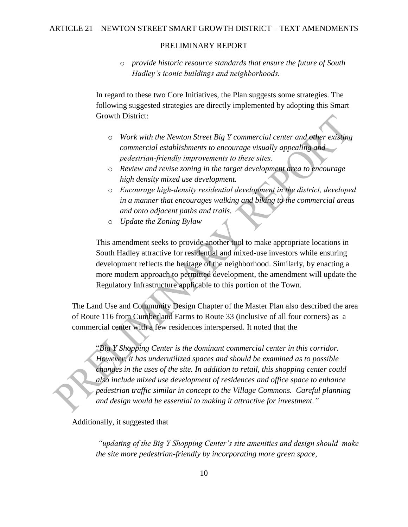o *provide historic resource standards that ensure the future of South Hadley's iconic buildings and neighborhoods.*

In regard to these two Core Initiatives, the Plan suggests some strategies. The following suggested strategies are directly implemented by adopting this Smart Growth District:

- o *Work with the Newton Street Big Y commercial center and other existing commercial establishments to encourage visually appealing and pedestrian‐friendly improvements to these sites.*
- o *Review and revise zoning in the target development area to encourage high density mixed use development.*
- o *Encourage high‐density residential development in the district, developed in a manner that encourages walking and biking to the commercial areas and onto adjacent paths and trails.*
- o *Update the Zoning Bylaw*

This amendment seeks to provide another tool to make appropriate locations in South Hadley attractive for residential and mixed-use investors while ensuring development reflects the heritage of the neighborhood. Similarly, by enacting a more modern approach to permitted development, the amendment will update the Regulatory Infrastructure applicable to this portion of the Town.

The Land Use and Community Design Chapter of the Master Plan also described the area of Route 116 from Cumberland Farms to Route 33 (inclusive of all four corners) as a commercial center with a few residences interspersed. It noted that the

"*Big Y Shopping Center is the dominant commercial center in this corridor. However, it has underutilized spaces and should be examined as to possible changes in the uses of the site. In addition to retail, this shopping center could also include mixed use development of residences and office space to enhance pedestrian traffic similar in concept to the Village Commons. Careful planning and design would be essential to making it attractive for investment."* 

#### Additionally, it suggested that

*"updating of the Big Y Shopping Center's site amenities and design should make the site more pedestrian-friendly by incorporating more green space,*